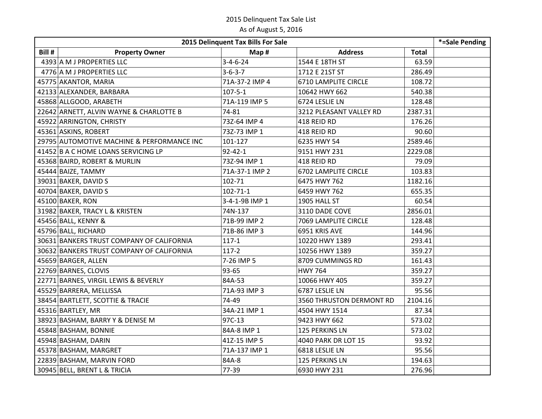| 2015 Delinquent Tax Bills For Sale |                                            |                  |                             |              | $\overline{S}$ =Sale Pending |
|------------------------------------|--------------------------------------------|------------------|-----------------------------|--------------|------------------------------|
| Bill #                             | <b>Property Owner</b>                      | Map #            | <b>Address</b>              | <b>Total</b> |                              |
|                                    | 4393 A M J PROPERTIES LLC                  | $3 - 4 - 6 - 24$ | 1544 E 18TH ST              | 63.59        |                              |
|                                    | 4776 A M J PROPERTIES LLC                  | $3 - 6 - 3 - 7$  | 1712 E 21ST ST              | 286.49       |                              |
|                                    | 45775 AKANTOR, MARIA                       | 71A-37-2 IMP 4   | 6710 LAMPLITE CIRCLE        | 108.72       |                              |
|                                    | 42133 ALEXANDER, BARBARA                   | $107 - 5 - 1$    | 10642 HWY 662               | 540.38       |                              |
|                                    | 45868 ALLGOOD, ARABETH                     | 71A-119 IMP 5    | 6724 LESLIE LN              | 128.48       |                              |
|                                    | 22642 ARNETT, ALVIN WAYNE & CHARLOTTE B    | 74-81            | 3212 PLEASANT VALLEY RD     | 2387.31      |                              |
|                                    | 45922 ARRINGTON, CHRISTY                   | 73Z-64 IMP 4     | 418 REID RD                 | 176.26       |                              |
|                                    | 45361 ASKINS, ROBERT                       | 73Z-73 IMP 1     | 418 REID RD                 | 90.60        |                              |
|                                    | 29795 AUTOMOTIVE MACHINE & PERFORMANCE INC | 101-127          | 6235 HWY 54                 | 2589.46      |                              |
|                                    | 41452 B A C HOME LOANS SERVICING LP        | $92 - 42 - 1$    | 9151 HWY 231                | 2229.08      |                              |
|                                    | 45368 BAIRD, ROBERT & MURLIN               | 73Z-94 IMP 1     | 418 REID RD                 | 79.09        |                              |
|                                    | 45444 BAIZE, TAMMY                         | 71A-37-1 IMP 2   | <b>6702 LAMPLITE CIRCLE</b> | 103.83       |                              |
|                                    | 39031 BAKER, DAVID S                       | 102-71           | 6475 HWY 762                | 1182.16      |                              |
|                                    | 40704 BAKER, DAVID S                       | $102 - 71 - 1$   | 6459 HWY 762                | 655.35       |                              |
|                                    | 45100 BAKER, RON                           | 3-4-1-9B IMP 1   | 1905 HALL ST                | 60.54        |                              |
|                                    | 31982 BAKER, TRACY L & KRISTEN             | 74N-137          | 3110 DADE COVE              | 2856.01      |                              |
|                                    | 45456 BALL, KENNY &                        | 71B-99 IMP 2     | 7069 LAMPLITE CIRCLE        | 128.48       |                              |
|                                    | 45796 BALL, RICHARD                        | 71B-86 IMP 3     | 6951 KRIS AVE               | 144.96       |                              |
|                                    | 30631 BANKERS TRUST COMPANY OF CALIFORNIA  | $117 - 1$        | 10220 HWY 1389              | 293.41       |                              |
|                                    | 30632 BANKERS TRUST COMPANY OF CALIFORNIA  | $117-2$          | 10256 HWY 1389              | 359.27       |                              |
|                                    | 45659 BARGER, ALLEN                        | 7-26 IMP 5       | 8709 CUMMINGS RD            | 161.43       |                              |
|                                    | 22769 BARNES, CLOVIS                       | 93-65            | <b>HWY 764</b>              | 359.27       |                              |
|                                    | 22771 BARNES, VIRGIL LEWIS & BEVERLY       | 84A-53           | 10066 HWY 405               | 359.27       |                              |
|                                    | 45529 BARRERA, MELLISSA                    | 71A-93 IMP 3     | 6787 LESLIE LN              | 95.56        |                              |
|                                    | 38454 BARTLETT, SCOTTIE & TRACIE           | 74-49            | 3560 THRUSTON DERMONT RD    | 2104.16      |                              |
|                                    | 45316 BARTLEY, MR                          | 34A-21 IMP 1     | 4504 HWY 1514               | 87.34        |                              |
|                                    | 38923 BASHAM, BARRY Y & DENISE M           | 97C-13           | 9423 HWY 662                | 573.02       |                              |
|                                    | 45848 BASHAM, BONNIE                       | 84A-8 IMP 1      | 125 PERKINS LN              | 573.02       |                              |
|                                    | 45948 BASHAM, DARIN                        | 41Z-15 IMP 5     | 4040 PARK DR LOT 15         | 93.92        |                              |
|                                    | 45378 BASHAM, MARGRET                      | 71A-137 IMP 1    | 6818 LESLIE LN              | 95.56        |                              |
|                                    | 22839 BASHAM, MARVIN FORD                  | 84A-8            | 125 PERKINS LN              | 194.63       |                              |
|                                    | 30945 BELL, BRENT L & TRICIA               | 77-39            | 6930 HWY 231                | 276.96       |                              |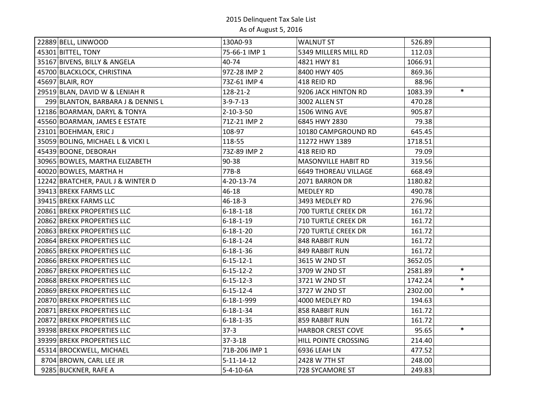| 22889 BELL, LINWOOD               | 130A0-93           | <b>WALNUT ST</b>            | 526.89  |        |
|-----------------------------------|--------------------|-----------------------------|---------|--------|
| 45301 BITTEL, TONY                | 75-66-1 IMP 1      | 5349 MILLERS MILL RD        | 112.03  |        |
| 35167 BIVENS, BILLY & ANGELA      | 40-74              | 4821 HWY 81                 | 1066.91 |        |
| 45700 BLACKLOCK, CHRISTINA        | 97Z-28 IMP 2       | 8400 HWY 405                | 869.36  |        |
| 45697 BLAIR, ROY                  | 73Z-61 IMP 4       | 418 REID RD                 | 88.96   |        |
| 29519 BLAN, DAVID W & LENIAH R    | 128-21-2           | 9206 JACK HINTON RD         | 1083.39 | $\ast$ |
| 299 BLANTON, BARBARA J & DENNIS L | $3-9-7-13$         | 3002 ALLEN ST               | 470.28  |        |
| 12186 BOARMAN, DARYL & TONYA      | $2 - 10 - 3 - 50$  | 1506 WING AVE               | 905.87  |        |
| 45560 BOARMAN, JAMES E ESTATE     | 71Z-21 IMP 2       | 6845 HWY 2830               | 79.38   |        |
| 23101 BOEHMAN, ERIC J             | 108-97             | 10180 CAMPGROUND RD         | 645.45  |        |
| 35059 BOLING, MICHAEL L & VICKI L | 118-55             | 11272 HWY 1389              | 1718.51 |        |
| 45439 BOONE, DEBORAH              | 73Z-89 IMP 2       | 418 REID RD                 | 79.09   |        |
| 30965 BOWLES, MARTHA ELIZABETH    | 90-38              | MASONVILLE HABIT RD         | 319.56  |        |
| 40020 BOWLES, MARTHA H            | 77B-8              | <b>6649 THOREAU VILLAGE</b> | 668.49  |        |
| 12242 BRATCHER, PAUL J & WINTER D | 4-20-13-74         | 2071 BARRON DR              | 1180.82 |        |
| 39413 BREKK FARMS LLC             | 46-18              | <b>MEDLEY RD</b>            | 490.78  |        |
| 39415 BREKK FARMS LLC             | $46 - 18 - 3$      | 3493 MEDLEY RD              | 276.96  |        |
| 20861 BREKK PROPERTIES LLC        | $6 - 18 - 1 - 18$  | 700 TURTLE CREEK DR         | 161.72  |        |
| 20862 BREKK PROPERTIES LLC        | $6 - 18 - 1 - 19$  | <b>710 TURTLE CREEK DR</b>  | 161.72  |        |
| 20863 BREKK PROPERTIES LLC        | $6 - 18 - 1 - 20$  | 720 TURTLE CREEK DR         | 161.72  |        |
| 20864 BREKK PROPERTIES LLC        | $6 - 18 - 1 - 24$  | 848 RABBIT RUN              | 161.72  |        |
| 20865 BREKK PROPERTIES LLC        | $6 - 18 - 1 - 36$  | 849 RABBIT RUN              | 161.72  |        |
| 20866 BREKK PROPERTIES LLC        | $6 - 15 - 12 - 1$  | 3615 W 2ND ST               | 3652.05 |        |
| 20867 BREKK PROPERTIES LLC        | $6 - 15 - 12 - 2$  | 3709 W 2ND ST               | 2581.89 | $\ast$ |
| 20868 BREKK PROPERTIES LLC        | $6 - 15 - 12 - 3$  | 3721 W 2ND ST               | 1742.24 | $\ast$ |
| 20869 BREKK PROPERTIES LLC        | $6 - 15 - 12 - 4$  | 3727 W 2ND ST               | 2302.00 | $\ast$ |
| 20870 BREKK PROPERTIES LLC        | 6-18-1-999         | 4000 MEDLEY RD              | 194.63  |        |
| 20871 BREKK PROPERTIES LLC        | $6 - 18 - 1 - 34$  | 858 RABBIT RUN              | 161.72  |        |
| 20872 BREKK PROPERTIES LLC        | $6 - 18 - 1 - 35$  | 859 RABBIT RUN              | 161.72  |        |
| 39398 BREKK PROPERTIES LLC        | $37-3$             | <b>HARBOR CREST COVE</b>    | 95.65   | $\ast$ |
| 39399 BREKK PROPERTIES LLC        | $37 - 3 - 18$      | HILL POINTE CROSSING        | 214.40  |        |
| 45314 BROCKWELL, MICHAEL          | 71B-206 IMP 1      | 6936 LEAH LN                | 477.52  |        |
| 8704 BROWN, CARL LEE JR           | $5 - 11 - 14 - 12$ | 2428 W 7TH ST               | 248.00  |        |
| 9285 BUCKNER, RAFE A              | $5-4-10-6A$        | 728 SYCAMORE ST             | 249.83  |        |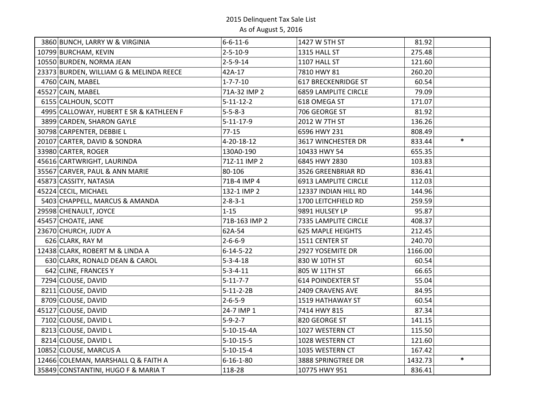| 3860 BUNCH, LARRY W & VIRGINIA                                                                                                                       | $6 - 6 - 11 - 6$                       | 1427 W 5TH ST                                          | 81.92             |        |
|------------------------------------------------------------------------------------------------------------------------------------------------------|----------------------------------------|--------------------------------------------------------|-------------------|--------|
| 10799 BURCHAM, KEVIN                                                                                                                                 | $2 - 5 - 10 - 9$                       | 1315 HALL ST                                           | 275.48            |        |
| 10550 BURDEN, NORMA JEAN                                                                                                                             | $2 - 5 - 9 - 14$                       | 1107 HALL ST                                           | 121.60            |        |
|                                                                                                                                                      |                                        |                                                        |                   |        |
| 23373 BURDEN, WILLIAM G & MELINDA REECE                                                                                                              | 42A-17                                 | 7810 HWY 81                                            | 260.20            |        |
| 4760 CAIN, MABEL                                                                                                                                     | $1 - 7 - 7 - 10$                       | <b>617 BRECKENRIDGE ST</b>                             | 60.54             |        |
| 45527 CAIN, MABEL                                                                                                                                    | 71A-32 IMP 2                           | <b>6859 LAMPLITE CIRCLE</b>                            | 79.09             |        |
| 6155 CALHOUN, SCOTT                                                                                                                                  | $5 - 11 - 12 - 2$                      | 618 OMEGA ST                                           | 171.07            |        |
| 4995 CALLOWAY, HUBERT E SR & KATHLEEN F                                                                                                              | $5 - 5 - 8 - 3$                        | 706 GEORGE ST                                          | 81.92             |        |
| 3899 CARDEN, SHARON GAYLE                                                                                                                            | $5 - 11 - 17 - 9$                      | 2012 W 7TH ST                                          | 136.26            |        |
| 30798 CARPENTER, DEBBIE L                                                                                                                            | $77 - 15$                              | 6596 HWY 231                                           | 808.49            |        |
| 20107 CARTER, DAVID & SONDRA                                                                                                                         | 4-20-18-12                             | 3617 WINCHESTER DR                                     | 833.44            | $\ast$ |
| 33980 CARTER, ROGER                                                                                                                                  | 130A0-190                              | 10433 HWY 54                                           | 655.35            |        |
| 45616 CARTWRIGHT, LAURINDA                                                                                                                           | 71Z-11 IMP 2                           | 6845 HWY 2830                                          | 103.83            |        |
| 35567 CARVER, PAUL & ANN MARIE                                                                                                                       | 80-106                                 | 3526 GREENBRIAR RD                                     | 836.41            |        |
| 45873 CASSITY, NATASIA                                                                                                                               | 71B-4 IMP 4                            | <b>6913 LAMPLITE CIRCLE</b>                            | 112.03            |        |
| 45224 CECIL, MICHAEL                                                                                                                                 | 132-1 IMP 2                            | 12337 INDIAN HILL RD                                   | 144.96            |        |
| 5403 CHAPPELL, MARCUS & AMANDA                                                                                                                       | $2 - 8 - 3 - 1$                        | 1700 LEITCHFIELD RD                                    | 259.59            |        |
| 29598 CHENAULT, JOYCE                                                                                                                                | $1 - 15$                               | 9891 HULSEY LP                                         | 95.87             |        |
| 45457 CHOATE, JANE                                                                                                                                   | 71B-163 IMP 2                          | 7335 LAMPLITE CIRCLE                                   | 408.37            |        |
| 23670 CHURCH, JUDY A                                                                                                                                 | 62A-54                                 | <b>625 MAPLE HEIGHTS</b>                               | 212.45            |        |
| 626 CLARK, RAY M                                                                                                                                     | $2 - 6 - 6 - 9$                        | 1511 CENTER ST                                         | 240.70            |        |
| 12438 CLARK, ROBERT M & LINDA A                                                                                                                      | $6 - 14 - 5 - 22$                      | 2927 YOSEMITE DR                                       | 1166.00           |        |
| 630 CLARK, RONALD DEAN & CAROL                                                                                                                       | $5 - 3 - 4 - 18$                       | 830 W 10TH ST                                          | 60.54             |        |
| 642 CLINE, FRANCES Y                                                                                                                                 | $5 - 3 - 4 - 11$                       | 805 W 11TH ST                                          | 66.65             |        |
| 7294 CLOUSE, DAVID                                                                                                                                   | $5 - 11 - 7 - 7$                       | <b>614 POINDEXTER ST</b>                               | 55.04             |        |
| 8211 CLOUSE, DAVID                                                                                                                                   | $5 - 11 - 2 - 2B$                      | 2409 CRAVENS AVE                                       | 84.95             |        |
| 8709 CLOUSE, DAVID                                                                                                                                   | $2 - 6 - 5 - 9$                        | 1519 HATHAWAY ST                                       | 60.54             |        |
| 45127 CLOUSE, DAVID                                                                                                                                  | 24-7 IMP 1                             | 7414 HWY 815                                           | 87.34             |        |
|                                                                                                                                                      | $5 - 9 - 2 - 7$                        | 820 GEORGE ST                                          | 141.15            |        |
|                                                                                                                                                      | $5-10-15-4A$                           | 1027 WESTERN CT                                        | 115.50            |        |
| 8214 CLOUSE, DAVID L                                                                                                                                 | $5 - 10 - 15 - 5$                      | 1028 WESTERN CT                                        | 121.60            |        |
|                                                                                                                                                      |                                        |                                                        |                   |        |
|                                                                                                                                                      |                                        |                                                        |                   | $\ast$ |
|                                                                                                                                                      | 118-28                                 |                                                        | 836.41            |        |
| 7102 CLOUSE, DAVID L<br>8213 CLOUSE, DAVID L<br>10852 CLOUSE, MARCUS A<br>12466 COLEMAN, MARSHALL Q & FAITH A<br>35849 CONSTANTINI, HUGO F & MARIA T | $5 - 10 - 15 - 4$<br>$6 - 16 - 1 - 80$ | 1035 WESTERN CT<br>3888 SPRINGTREE DR<br>10775 HWY 951 | 167.42<br>1432.73 |        |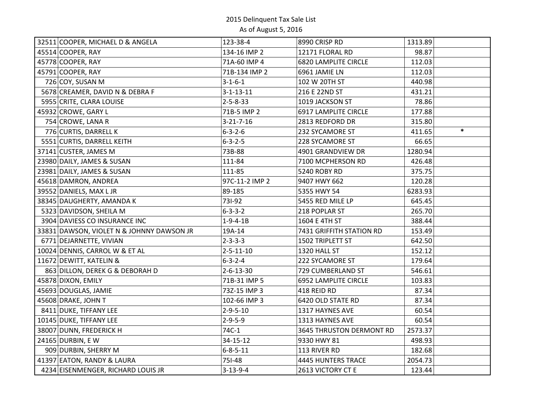| 32511 COOPER, MICHAEL D & ANGELA          | 123-38-4          | 8990 CRISP RD                   | 1313.89 |        |
|-------------------------------------------|-------------------|---------------------------------|---------|--------|
| 45514 COOPER, RAY                         | 134-16 IMP 2      | 12171 FLORAL RD                 | 98.87   |        |
| 45778 COOPER, RAY                         | 71A-60 IMP 4      | <b>6820 LAMPLITE CIRCLE</b>     | 112.03  |        |
| 45791 COOPER, RAY                         | 71B-134 IMP 2     | 6961 JAMIE LN                   | 112.03  |        |
| 726 COY, SUSAN M                          | $3 - 1 - 6 - 1$   | 102 W 20TH ST                   | 440.98  |        |
| 5678 CREAMER, DAVID N & DEBRA F           | $3 - 1 - 13 - 11$ | 216 E 22ND ST                   | 431.21  |        |
| 5955 CRITE, CLARA LOUISE                  | $2 - 5 - 8 - 33$  | 1019 JACKSON ST                 | 78.86   |        |
| 45932 CROWE, GARY L                       | 71B-5 IMP 2       | 6917 LAMPLITE CIRCLE            | 177.88  |        |
| 754 CROWE, LANA R                         | $3 - 21 - 7 - 16$ | 2813 REDFORD DR                 | 315.80  |        |
| 776 CURTIS, DARRELL K                     | $6 - 3 - 2 - 6$   | 232 SYCAMORE ST                 | 411.65  | $\ast$ |
| 5551 CURTIS, DARRELL KEITH                | $6 - 3 - 2 - 5$   | 228 SYCAMORE ST                 | 66.65   |        |
| 37141 CUSTER, JAMES M                     | 73B-88            | 4901 GRANDVIEW DR               | 1280.94 |        |
| 23980 DAILY, JAMES & SUSAN                | 111-84            | 7100 MCPHERSON RD               | 426.48  |        |
| 23981 DAILY, JAMES & SUSAN                | 111-85            | 5240 ROBY RD                    | 375.75  |        |
| 45618 DAMRON, ANDREA                      | 97C-11-2 IMP 2    | 9407 HWY 662                    | 120.28  |        |
| 39552 DANIELS, MAX L JR                   | 89-185            | 5355 HWY 54                     | 6283.93 |        |
| 38345 DAUGHERTY, AMANDA K                 | 731-92            | 5455 RED MILE LP                | 645.45  |        |
| 5323 DAVIDSON, SHEILA M                   | $6 - 3 - 3 - 2$   | 218 POPLAR ST                   | 265.70  |        |
| 3904 DAVIESS CO INSURANCE INC             | $1 - 9 - 4 - 1B$  | 1604 E 4TH ST                   | 388.44  |        |
| 33831 DAWSON, VIOLET N & JOHNNY DAWSON JR | 19A-14            | 7431 GRIFFITH STATION RD        | 153.49  |        |
| 6771 DEJARNETTE, VIVIAN                   | $2 - 3 - 3 - 3$   | 1502 TRIPLETT ST                | 642.50  |        |
| 10024 DENNIS, CARROL W & ET AL            | $2 - 5 - 11 - 10$ | 1320 HALL ST                    | 152.12  |        |
| 11672 DEWITT, KATELIN &                   | $6 - 3 - 2 - 4$   | 222 SYCAMORE ST                 | 179.64  |        |
| 863 DILLON, DEREK G & DEBORAH D           | $2 - 6 - 13 - 30$ | 729 CUMBERLAND ST               | 546.61  |        |
| 45878 DIXON, EMILY                        | 71B-31 IMP 5      | 6952 LAMPLITE CIRCLE            | 103.83  |        |
| 45693 DOUGLAS, JAMIE                      | 73Z-15 IMP 3      | 418 REID RD                     | 87.34   |        |
| 45608 DRAKE, JOHN T                       | 102-66 IMP 3      | 6420 OLD STATE RD               | 87.34   |        |
| 8411 DUKE, TIFFANY LEE                    | $2 - 9 - 5 - 10$  | 1317 HAYNES AVE                 | 60.54   |        |
| 10145 DUKE, TIFFANY LEE                   | $2 - 9 - 5 - 9$   | 1313 HAYNES AVE                 | 60.54   |        |
| 38007 DUNN, FREDERICK H                   | 74C-1             | <b>3645 THRUSTON DERMONT RD</b> | 2573.37 |        |
| 24165 DURBIN, E W                         | 34-15-12          | 9330 HWY 81                     | 498.93  |        |
| 909 DURBIN, SHERRY M                      | $6 - 8 - 5 - 11$  | 113 RIVER RD                    | 182.68  |        |
| 41397 EATON, RANDY & LAURA                | 751-48            | <b>4445 HUNTERS TRACE</b>       | 2054.73 |        |
| 4234 EISENMENGER, RICHARD LOUIS JR        | $3 - 13 - 9 - 4$  | 2613 VICTORY CT E               | 123.44  |        |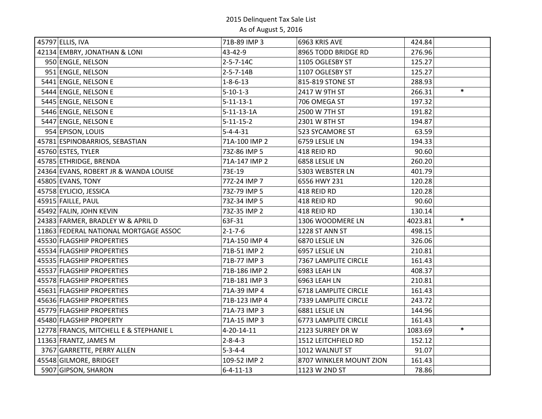| 45797 ELLIS, IVA                        | 71B-89 IMP 3       | 6963 KRIS AVE               | 424.84  |        |
|-----------------------------------------|--------------------|-----------------------------|---------|--------|
| 42134 EMBRY, JONATHAN & LONI            | 43-42-9            | 8965 TODD BRIDGE RD         | 276.96  |        |
| 950 ENGLE, NELSON                       | 2-5-7-14C          | 1105 OGLESBY ST             | 125.27  |        |
| 951 ENGLE, NELSON                       | $2 - 5 - 7 - 14B$  | 1107 OGLESBY ST             | 125.27  |        |
| 5441 ENGLE, NELSON E                    | $1 - 8 - 6 - 13$   | 815-819 STONE ST            | 288.93  |        |
| 5444 ENGLE, NELSON E                    | $5 - 10 - 1 - 3$   | 2417 W 9TH ST               | 266.31  | $\ast$ |
| 5445 ENGLE, NELSON E                    | $5 - 11 - 13 - 1$  | 706 OMEGA ST                | 197.32  |        |
| 5446 ENGLE, NELSON E                    | $5 - 11 - 13 - 1A$ | 2500 W 7TH ST               | 191.82  |        |
| 5447 ENGLE, NELSON E                    | $5 - 11 - 15 - 2$  | 2301 W 8TH ST               | 194.87  |        |
| 954 EPISON, LOUIS                       | $5 - 4 - 4 - 31$   | 523 SYCAMORE ST             | 63.59   |        |
| 45781 ESPINOBARRIOS, SEBASTIAN          | 71A-100 IMP 2      | 6759 LESLIE LN              | 194.33  |        |
| 45760 ESTES, TYLER                      | 73Z-86 IMP 5       | 418 REID RD                 | 90.60   |        |
| 45785 ETHRIDGE, BRENDA                  | 71A-147 IMP 2      | 6858 LESLIE LN              | 260.20  |        |
| 24364 EVANS, ROBERT JR & WANDA LOUISE   | 73E-19             | 5303 WEBSTER LN             | 401.79  |        |
| 45805 EVANS, TONY                       | 77Z-24 IMP 7       | 6556 HWY 231                | 120.28  |        |
| 45758 EYLICIO, JESSICA                  | 73Z-79 IMP 5       | 418 REID RD                 | 120.28  |        |
| 45915 FAILLE, PAUL                      | 73Z-34 IMP 5       | 418 REID RD                 | 90.60   |        |
| 45492 FALIN, JOHN KEVIN                 | 73Z-35 IMP 2       | 418 REID RD                 | 130.14  |        |
| 24383 FARMER, BRADLEY W & APRIL D       | 63F-31             | 1306 WOODMERE LN            | 4023.81 | $\ast$ |
| 11863 FEDERAL NATIONAL MORTGAGE ASSOC   | $2 - 1 - 7 - 6$    | 1228 ST ANN ST              | 498.15  |        |
| 45530 FLAGSHIP PROPERTIES               | 71A-150 IMP 4      | 6870 LESLIE LN              | 326.06  |        |
| 45534 FLAGSHIP PROPERTIES               | 71B-51 IMP 2       | 6957 LESLIE LN              | 210.81  |        |
| 45535 FLAGSHIP PROPERTIES               | 71B-77 IMP 3       | 7367 LAMPLITE CIRCLE        | 161.43  |        |
| 45537 FLAGSHIP PROPERTIES               | 71B-186 IMP 2      | 6983 LEAH LN                | 408.37  |        |
| 45578 FLAGSHIP PROPERTIES               | 71B-181 IMP 3      | 6963 LEAH LN                | 210.81  |        |
| 45631 FLAGSHIP PROPERTIES               | 71A-39 IMP 4       | <b>6718 LAMPLITE CIRCLE</b> | 161.43  |        |
| 45636 FLAGSHIP PROPERTIES               | 71B-123 IMP 4      | 7339 LAMPLITE CIRCLE        | 243.72  |        |
| 45779 FLAGSHIP PROPERTIES               | 71A-73 IMP 3       | 6881 LESLIE LN              | 144.96  |        |
| 45480 FLAGSHIP PROPERTY                 | 71A-15 IMP 3       | <b>6773 LAMPLITE CIRCLE</b> | 161.43  |        |
| 12778 FRANCIS, MITCHELL E & STEPHANIE L | 4-20-14-11         | 2123 SURREY DR W            | 1083.69 | $\ast$ |
| 11363 FRANTZ, JAMES M                   | $2 - 8 - 4 - 3$    | 1512 LEITCHFIELD RD         | 152.12  |        |
| 3767 GARRETTE, PERRY ALLEN              | $5 - 3 - 4 - 4$    | 1012 WALNUT ST              | 91.07   |        |
| 45548 GILMORE, BRIDGET                  | 109-52 IMP 2       | 8707 WINKLER MOUNT ZION     | 161.43  |        |
| 5907 GIPSON, SHARON                     | $6 - 4 - 11 - 13$  | 1123 W 2ND ST               | 78.86   |        |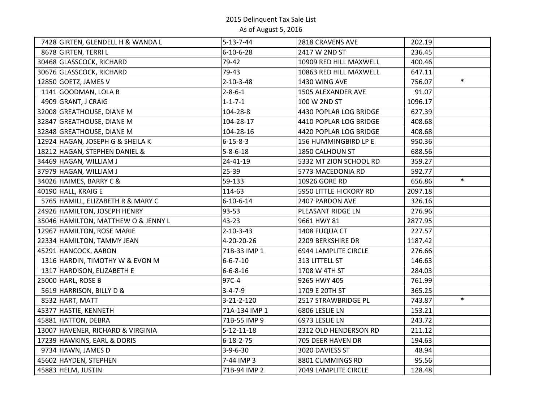| 7428 GIRTEN, GLENDELL H & WANDA L   | $5 - 13 - 7 - 44$  | 2818 CRAVENS AVE       | 202.19           |
|-------------------------------------|--------------------|------------------------|------------------|
| 8678 GIRTEN, TERRI L                | $6 - 10 - 6 - 28$  | 2417 W 2ND ST          | 236.45           |
| 30468 GLASSCOCK, RICHARD            | 79-42              | 10909 RED HILL MAXWELL | 400.46           |
| 30676 GLASSCOCK, RICHARD            | 79-43              | 10863 RED HILL MAXWELL | 647.11           |
| 12850 GOETZ, JAMES V                | $2 - 10 - 3 - 48$  | 1430 WING AVE          | $\ast$<br>756.07 |
| 1141 GOODMAN, LOLA B                | $2 - 8 - 6 - 1$    | 1505 ALEXANDER AVE     | 91.07            |
| 4909 GRANT, J CRAIG                 | $1 - 1 - 7 - 1$    | 100 W 2ND ST           | 1096.17          |
| 32008 GREATHOUSE, DIANE M           | 104-28-8           | 4430 POPLAR LOG BRIDGE | 627.39           |
| 32847 GREATHOUSE, DIANE M           | 104-28-17          | 4410 POPLAR LOG BRIDGE | 408.68           |
| 32848 GREATHOUSE, DIANE M           | 104-28-16          | 4420 POPLAR LOG BRIDGE | 408.68           |
| 12924 HAGAN, JOSEPH G & SHEILA K    | $6 - 15 - 8 - 3$   | 156 HUMMINGBIRD LP E   | 950.36           |
| 18212 HAGAN, STEPHEN DANIEL &       | $5 - 8 - 6 - 18$   | 1850 CALHOUN ST        | 688.56           |
| 34469 HAGAN, WILLIAM J              | 24-41-19           | 5332 MT ZION SCHOOL RD | 359.27           |
| 37979 HAGAN, WILLIAM J              | $25 - 39$          | 5773 MACEDONIA RD      | 592.77           |
| 34026 HAIMES, BARRY C &             | 59-133             | 10926 GORE RD          | $\ast$<br>656.86 |
| 40190 HALL, KRAIG E                 | 114-63             | 5950 LITTLE HICKORY RD | 2097.18          |
| 5765 HAMILL, ELIZABETH R & MARY C   | $6 - 10 - 6 - 14$  | 2407 PARDON AVE        | 326.16           |
| 24926 HAMILTON, JOSEPH HENRY        | 93-53              | PLEASANT RIDGE LN      | 276.96           |
| 35046 HAMILTON, MATTHEW O & JENNY L | 43-23              | 9661 HWY 81            | 2877.95          |
| 12967 HAMILTON, ROSE MARIE          | $2 - 10 - 3 - 43$  | 1408 FUQUA CT          | 227.57           |
| 22334 HAMILTON, TAMMY JEAN          | 4-20-20-26         | 2209 BERKSHIRE DR      | 1187.42          |
| 45291 HANCOCK, AARON                | 71B-33 IMP 1       | 6944 LAMPLITE CIRCLE   | 276.66           |
| 1316 HARDIN, TIMOTHY W & EVON M     | $6 - 6 - 7 - 10$   | 313 LITTELL ST         | 146.63           |
| 1317 HARDISON, ELIZABETH E          | $6 - 6 - 8 - 16$   | 1708 W 4TH ST          | 284.03           |
| 25000 HARL, ROSE B                  | 97C-4              | 9265 HWY 405           | 761.99           |
| 5619 HARRISON, BILLY D &            | $3 - 4 - 7 - 9$    | 1709 E 20TH ST         | 365.25           |
| 8532 HART, MATT                     | 3-21-2-120         | 2517 STRAWBRIDGE PL    | $\ast$<br>743.87 |
| 45377 HASTIE, KENNETH               | 71A-134 IMP 1      | 6806 LESLIE LN         | 153.21           |
| 45881 HATTON, DEBRA                 | 71B-55 IMP 9       | 6973 LESLIE LN         | 243.72           |
| 13007 HAVENER, RICHARD & VIRGINIA   | $5 - 12 - 11 - 18$ | 2312 OLD HENDERSON RD  | 211.12           |
| 17239 HAWKINS, EARL & DORIS         | $6 - 18 - 2 - 75$  | 705 DEER HAVEN DR      | 194.63           |
| 9734 HAWN, JAMES D                  | $3-9-6-30$         | 3020 DAVIESS ST        | 48.94            |
| 45602 HAYDEN, STEPHEN               | 7-44 IMP 3         | 8801 CUMMINGS RD       | 95.56            |
| 45883 HELM, JUSTIN                  | 71B-94 IMP 2       | 7049 LAMPLITE CIRCLE   | 128.48           |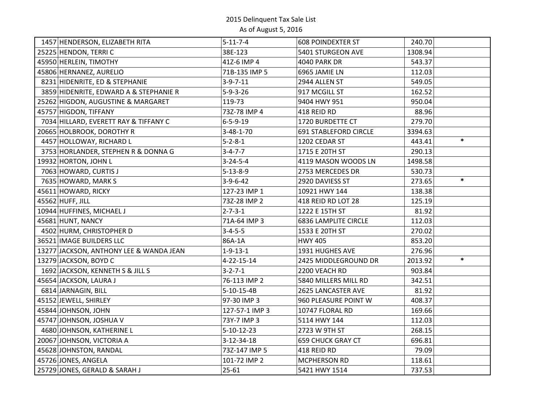| 1457 HENDERSON, ELIZABETH RITA          | $5 - 11 - 7 - 4$   | <b>608 POINDEXTER ST</b>     | 240.70  |        |
|-----------------------------------------|--------------------|------------------------------|---------|--------|
| 25225 HENDON, TERRIC                    | 38E-123            | 5401 STURGEON AVE            | 1308.94 |        |
| 45950 HERLEIN, TIMOTHY                  | 41Z-6 IMP 4        | <b>4040 PARK DR</b>          | 543.37  |        |
| 45806 HERNANEZ, AURELIO                 | 71B-135 IMP 5      | 6965 JAMIE LN                | 112.03  |        |
| 8231 HIDENRITE, ED & STEPHANIE          | $3 - 9 - 7 - 11$   | 2944 ALLEN ST                | 549.05  |        |
| 3859 HIDENRITE, EDWARD A & STEPHANIE R  | $5 - 9 - 3 - 26$   | 917 MCGILL ST                | 162.52  |        |
| 25262 HIGDON, AUGUSTINE & MARGARET      | 119-73             | 9404 HWY 951                 | 950.04  |        |
| 45757 HIGDON, TIFFANY                   | 73Z-78 IMP 4       | 418 REID RD                  | 88.96   |        |
| 7034 HILLARD, EVERETT RAY & TIFFANY C   | $6 - 5 - 9 - 19$   | 1720 BURDETTE CT             | 279.70  |        |
| 20665 HOLBROOK, DOROTHY R               | $3 - 48 - 1 - 70$  | <b>691 STABLEFORD CIRCLE</b> | 3394.63 |        |
| 4457 HOLLOWAY, RICHARD L                | $5 - 2 - 8 - 1$    | 1202 CEDAR ST                | 443.41  | $\ast$ |
| 3753 HORLANDER, STEPHEN R & DONNA G     | $3 - 4 - 7 - 7$    | 1715 E 20TH ST               | 290.13  |        |
| 19932 HORTON, JOHN L                    | $3 - 24 - 5 - 4$   | 4119 MASON WOODS LN          | 1498.58 |        |
| 7063 HOWARD, CURTIS J                   | $5 - 13 - 8 - 9$   | 2753 MERCEDES DR             | 530.73  |        |
| 7635 HOWARD, MARK S                     | $3-9-6-42$         | 2920 DAVIESS ST              | 273.65  | $\ast$ |
| 45611 HOWARD, RICKY                     | 127-23 IMP 1       | 10921 HWY 144                | 138.38  |        |
| 45562 HUFF, JILL                        | 73Z-28 IMP 2       | 418 REID RD LOT 28           | 125.19  |        |
| 10944 HUFFINES, MICHAEL J               | $2 - 7 - 3 - 1$    | 1222 E 15TH ST               | 81.92   |        |
| 45681 HUNT, NANCY                       | 71A-64 IMP 3       | <b>6836 LAMPLITE CIRCLE</b>  | 112.03  |        |
| 4502 HURM, CHRISTOPHER D                | $3 - 4 - 5 - 5$    | 1533 E 20TH ST               | 270.02  |        |
| 36521 IMAGE BUILDERS LLC                | 86A-1A             | <b>HWY 405</b>               | 853.20  |        |
| 13277 JACKSON, ANTHONY LEE & WANDA JEAN | $1 - 9 - 13 - 1$   | 1931 HUGHES AVE              | 276.96  |        |
| 13279 JACKSON, BOYD C                   | 4-22-15-14         | 2425 MIDDLEGROUND DR         | 2013.92 | $\ast$ |
| 1692 JACKSON, KENNETH S & JILL S        | $3 - 2 - 7 - 1$    | 2200 VEACH RD                | 903.84  |        |
| 45654 JACKSON, LAURA J                  | 76-113 IMP 2       | 5840 MILLERS MILL RD         | 342.51  |        |
| 6814 JARNAGIN, BILL                     | 5-10-15-4B         | 2625 LANCASTER AVE           | 81.92   |        |
| 45152 JEWELL, SHIRLEY                   | 97-30 IMP 3        | 960 PLEASURE POINT W         | 408.37  |        |
| 45844 JOHNSON, JOHN                     | 127-57-1 IMP 3     | 10747 FLORAL RD              | 169.66  |        |
| 45747 JOHNSON, JOSHUA V                 | 73Y-7 IMP 3        | 5114 HWY 144                 | 112.03  |        |
| 4680 JOHNSON, KATHERINE L               | $5 - 10 - 12 - 23$ | 2723 W 9TH ST                | 268.15  |        |
| 20067 JOHNSON, VICTORIA A               | 3-12-34-18         | <b>659 CHUCK GRAY CT</b>     | 696.81  |        |
| 45628 JOHNSTON, RANDAL                  | 73Z-147 IMP 5      | 418 REID RD                  | 79.09   |        |
| 45726 JONES, ANGELA                     | 101-72 IMP 2       | MCPHERSON RD                 | 118.61  |        |
| 25729 JONES, GERALD & SARAH J           | $25 - 61$          | 5421 HWY 1514                | 737.53  |        |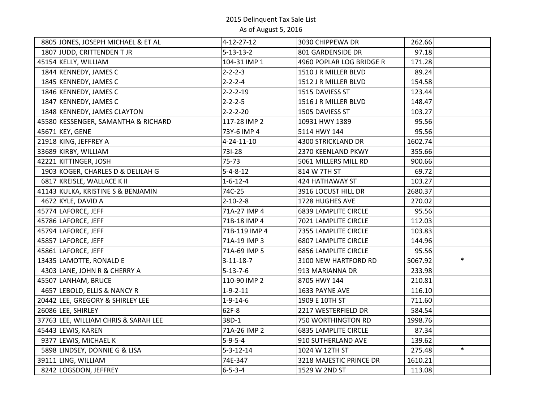| 8805 JONES, JOSEPH MICHAEL & ET AL   | $4 - 12 - 27 - 12$ | 3030 CHIPPEWA DR            | 262.66            |
|--------------------------------------|--------------------|-----------------------------|-------------------|
| 1807 JUDD, CRITTENDEN T JR           | $5 - 13 - 13 - 2$  | 801 GARDENSIDE DR           | 97.18             |
| 45154 KELLY, WILLIAM                 | 104-31 IMP 1       | 4960 POPLAR LOG BRIDGE R    | 171.28            |
| 1844 KENNEDY, JAMES C                | $2 - 2 - 2 - 3$    | 1510 J R MILLER BLVD        | 89.24             |
| 1845 KENNEDY, JAMES C                | $2 - 2 - 2 - 4$    | 1512 J R MILLER BLVD        | 154.58            |
| 1846 KENNEDY, JAMES C                | $2 - 2 - 2 - 19$   | 1515 DAVIESS ST             | 123.44            |
| 1847 KENNEDY, JAMES C                | $2 - 2 - 2 - 5$    | 1516 J R MILLER BLVD        | 148.47            |
| 1848 KENNEDY, JAMES CLAYTON          | $2 - 2 - 2 - 20$   | 1505 DAVIESS ST             | 103.27            |
| 45580 KESSENGER, SAMANTHA & RICHARD  | 117-28 IMP 2       | 10931 HWY 1389              | 95.56             |
| 45671 KEY, GENE                      | 73Y-6 IMP 4        | 5114 HWY 144                | 95.56             |
| 21918 KING, JEFFREY A                | 4-24-11-10         | 4300 STRICKLAND DR          | 1602.74           |
| 33689 KIRBY, WILLIAM                 | 731-28             | 2370 KEENLAND PKWY          | 355.66            |
| 42221 KITTINGER, JOSH                | 75-73              | 5061 MILLERS MILL RD        | 900.66            |
| 1903 KOGER, CHARLES D & DELILAH G    | $5 - 4 - 8 - 12$   | 814 W 7TH ST                | 69.72             |
| 6817 KREISLE, WALLACE K II           | $1 - 6 - 12 - 4$   | 424 HATHAWAY ST             | 103.27            |
| 41143 KULKA, KRISTINE S & BENJAMIN   | 74C-25             | 3916 LOCUST HILL DR         | 2680.37           |
| 4672 KYLE, DAVID A                   | $2 - 10 - 2 - 8$   | 1728 HUGHES AVE             | 270.02            |
| 45774 LAFORCE, JEFF                  | 71A-27 IMP 4       | <b>6839 LAMPLITE CIRCLE</b> | 95.56             |
| 45786 LAFORCE, JEFF                  | 71B-18 IMP 4       | 7021 LAMPLITE CIRCLE        | 112.03            |
| 45794 LAFORCE, JEFF                  | 71B-119 IMP 4      | 7355 LAMPLITE CIRCLE        | 103.83            |
| 45857 LAFORCE, JEFF                  | 71A-19 IMP 3       | <b>6807 LAMPLITE CIRCLE</b> | 144.96            |
| 45861 LAFORCE, JEFF                  | 71A-69 IMP 5       | <b>6856 LAMPLITE CIRCLE</b> | 95.56             |
| 13435 LAMOTTE, RONALD E              | $3 - 11 - 18 - 7$  | 3100 NEW HARTFORD RD        | $\ast$<br>5067.92 |
| 4303 LANE, JOHN R & CHERRY A         | $5 - 13 - 7 - 6$   | 913 MARIANNA DR             | 233.98            |
| 45507 LANHAM, BRUCE                  | 110-90 IMP 2       | 8705 HWY 144                | 210.81            |
| 4657 LEBOLD, ELLIS & NANCY R         | $1 - 9 - 2 - 11$   | 1633 PAYNE AVE              | 116.10            |
| 20442 LEE, GREGORY & SHIRLEY LEE     | $1 - 9 - 14 - 6$   | 1909 E 10TH ST              | 711.60            |
| 26086 LEE, SHIRLEY                   | 62F-8              | 2217 WESTERFIELD DR         | 584.54            |
| 37763 LEE, WILLIAM CHRIS & SARAH LEE | 38D-1              | 750 WORTHINGTON RD          | 1998.76           |
| 45443 LEWIS, KAREN                   | 71A-26 IMP 2       | <b>6835 LAMPLITE CIRCLE</b> | 87.34             |
| 9377 LEWIS, MICHAEL K                | $5 - 9 - 5 - 4$    | 910 SUTHERLAND AVE          | 139.62            |
| 5898 LINDSEY, DONNIE G & LISA        | $5 - 3 - 12 - 14$  | 1024 W 12TH ST              | $\ast$<br>275.48  |
| 39111 LING, WILLIAM                  | 74E-347            | 3218 MAJESTIC PRINCE DR     | 1610.21           |
| 8242 LOGSDON, JEFFREY                | $6 - 5 - 3 - 4$    | 1529 W 2ND ST               | 113.08            |
|                                      |                    |                             |                   |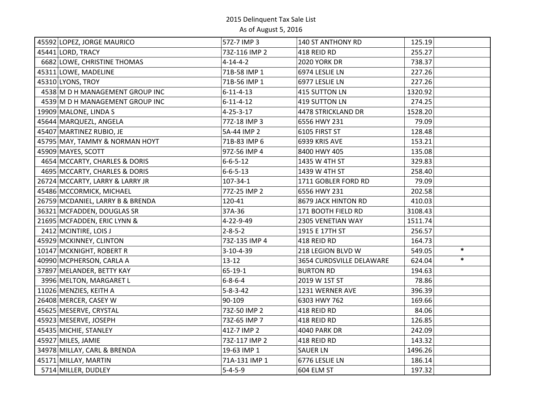| 45592 LOPEZ, JORGE MAURICO       | 572-7 IMP 3       | 140 ST ANTHONY RD        | 125.19  |        |
|----------------------------------|-------------------|--------------------------|---------|--------|
| 45441 LORD, TRACY                | 73Z-116 IMP 2     | 418 REID RD              | 255.27  |        |
| 6682 LOWE, CHRISTINE THOMAS      | $4 - 14 - 4 - 2$  | <b>2020 YORK DR</b>      | 738.37  |        |
| 45311 LOWE, MADELINE             | 71B-58 IMP 1      | 6974 LESLIE LN           | 227.26  |        |
| 45310 LYONS, TROY                | 71B-56 IMP 1      | 6977 LESLIE LN           | 227.26  |        |
| 4538 M D H MANAGEMENT GROUP INC  | $6 - 11 - 4 - 13$ | 415 SUTTON LN            | 1320.92 |        |
| 4539 M D H MANAGEMENT GROUP INC  | $6 - 11 - 4 - 12$ | 419 SUTTON LN            | 274.25  |        |
| 19909 MALONE, LINDA S            | $4 - 25 - 3 - 17$ | 4478 STRICKLAND DR       | 1528.20 |        |
| 45644 MARQUEZL, ANGELA           | 77Z-18 IMP 3      | 6556 HWY 231             | 79.09   |        |
| 45407 MARTINEZ RUBIO, JE         | 5A-44 IMP 2       | 6105 FIRST ST            | 128.48  |        |
| 45795 MAY, TAMMY & NORMAN HOYT   | 71B-83 IMP 6      | 6939 KRIS AVE            | 153.21  |        |
| 45909 MAYES, SCOTT               | 97Z-56 IMP 4      | 8400 HWY 405             | 135.08  |        |
| 4654 MCCARTY, CHARLES & DORIS    | $6 - 6 - 5 - 12$  | 1435 W 4TH ST            | 329.83  |        |
| 4695 MCCARTY, CHARLES & DORIS    | $6 - 6 - 5 - 13$  | 1439 W 4TH ST            | 258.40  |        |
| 26724 MCCARTY, LARRY & LARRY JR  | 107-34-1          | 1711 GOBLER FORD RD      | 79.09   |        |
| 45486 MCCORMICK, MICHAEL         | 77Z-25 IMP 2      | 6556 HWY 231             | 202.58  |        |
| 26759 MCDANIEL, LARRY B & BRENDA | 120-41            | 8679 JACK HINTON RD      | 410.03  |        |
| 36321 MCFADDEN, DOUGLAS SR       | 37A-36            | 171 BOOTH FIELD RD       | 3108.43 |        |
| 21695 MCFADDEN, ERIC LYNN &      | 4-22-9-49         | 2305 VENETIAN WAY        | 1511.74 |        |
| 2412 MCINTIRE, LOIS J            | $2 - 8 - 5 - 2$   | 1915 E 17TH ST           | 256.57  |        |
| 45929 MCKINNEY, CLINTON          | 73Z-135 IMP 4     | 418 REID RD              | 164.73  |        |
| 10147 MCKNIGHT, ROBERT R         | 3-10-4-39         | 218 LEGION BLVD W        | 549.05  | $\ast$ |
| 40990 MCPHERSON, CARLA A         | $13 - 12$         | 3654 CURDSVILLE DELAWARE | 624.04  | $\ast$ |
| 37897 MELANDER, BETTY KAY        | $65 - 19 - 1$     | <b>BURTON RD</b>         | 194.63  |        |
| 3996 MELTON, MARGARET L          | $6 - 8 - 6 - 4$   | 2019 W 1ST ST            | 78.86   |        |
| 11026 MENZIES, KEITH A           | $5 - 8 - 3 - 42$  | 1231 WERNER AVE          | 396.39  |        |
| 26408 MERCER, CASEY W            | 90-109            | 6303 HWY 762             | 169.66  |        |
| 45625 MESERVE, CRYSTAL           | 73Z-50 IMP 2      | 418 REID RD              | 84.06   |        |
| 45923 MESERVE, JOSEPH            | 73Z-65 IMP 7      | 418 REID RD              | 126.85  |        |
| 45435 MICHIE, STANLEY            | 41Z-7 IMP 2       | <b>4040 PARK DR</b>      | 242.09  |        |
| 45927 MILES, JAMIE               | 73Z-117 IMP 2     | 418 REID RD              | 143.32  |        |
| 34978 MILLAY, CARL & BRENDA      | 19-63 IMP 1       | <b>SAUER LN</b>          | 1496.26 |        |
| 45171 MILLAY, MARTIN             | 71A-131 IMP 1     | 6776 LESLIE LN           | 186.14  |        |
| 5714 MILLER, DUDLEY              | $5 - 4 - 5 - 9$   | 604 ELM ST               | 197.32  |        |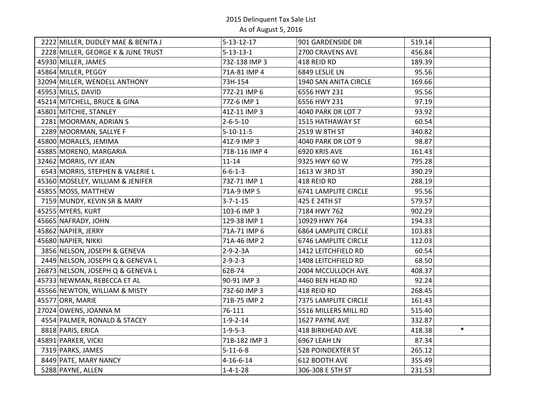|                   | $5 - 13 - 12 - 17$                                                                                                                                                                                                                                                                                                                                                                                                                                                                                                                                                                                                                                                                                                                                                                                                                                                                                                                               | 901 GARDENSIDE DR           | 519.14           |
|-------------------|--------------------------------------------------------------------------------------------------------------------------------------------------------------------------------------------------------------------------------------------------------------------------------------------------------------------------------------------------------------------------------------------------------------------------------------------------------------------------------------------------------------------------------------------------------------------------------------------------------------------------------------------------------------------------------------------------------------------------------------------------------------------------------------------------------------------------------------------------------------------------------------------------------------------------------------------------|-----------------------------|------------------|
|                   | $5 - 13 - 13 - 1$                                                                                                                                                                                                                                                                                                                                                                                                                                                                                                                                                                                                                                                                                                                                                                                                                                                                                                                                | 2700 CRAVENS AVE            | 456.84           |
|                   | 73Z-138 IMP 3                                                                                                                                                                                                                                                                                                                                                                                                                                                                                                                                                                                                                                                                                                                                                                                                                                                                                                                                    | 418 REID RD                 | 189.39           |
|                   | 71A-81 IMP 4                                                                                                                                                                                                                                                                                                                                                                                                                                                                                                                                                                                                                                                                                                                                                                                                                                                                                                                                     | 6849 LESLIE LN              | 95.56            |
|                   | 73H-154                                                                                                                                                                                                                                                                                                                                                                                                                                                                                                                                                                                                                                                                                                                                                                                                                                                                                                                                          | 1940 SAN ANITA CIRCLE       | 169.66           |
|                   | 77Z-21 IMP 6                                                                                                                                                                                                                                                                                                                                                                                                                                                                                                                                                                                                                                                                                                                                                                                                                                                                                                                                     | 6556 HWY 231                | 95.56            |
|                   | 772-6 IMP 1                                                                                                                                                                                                                                                                                                                                                                                                                                                                                                                                                                                                                                                                                                                                                                                                                                                                                                                                      | 6556 HWY 231                | 97.19            |
|                   | 41Z-11 IMP 3                                                                                                                                                                                                                                                                                                                                                                                                                                                                                                                                                                                                                                                                                                                                                                                                                                                                                                                                     | 4040 PARK DR LOT 7          | 93.92            |
|                   | $2 - 6 - 5 - 10$                                                                                                                                                                                                                                                                                                                                                                                                                                                                                                                                                                                                                                                                                                                                                                                                                                                                                                                                 | 1515 HATHAWAY ST            | 60.54            |
|                   | $5 - 10 - 11 - 5$                                                                                                                                                                                                                                                                                                                                                                                                                                                                                                                                                                                                                                                                                                                                                                                                                                                                                                                                | 2519 W 8TH ST               | 340.82           |
|                   | 41Z-9 IMP 3                                                                                                                                                                                                                                                                                                                                                                                                                                                                                                                                                                                                                                                                                                                                                                                                                                                                                                                                      | 4040 PARK DR LOT 9          | 98.87            |
|                   | 71B-116 IMP 4                                                                                                                                                                                                                                                                                                                                                                                                                                                                                                                                                                                                                                                                                                                                                                                                                                                                                                                                    | 6920 KRIS AVE               | 161.43           |
|                   | $11 - 14$                                                                                                                                                                                                                                                                                                                                                                                                                                                                                                                                                                                                                                                                                                                                                                                                                                                                                                                                        | 9325 HWY 60 W               | 795.28           |
|                   | $6 - 6 - 1 - 3$                                                                                                                                                                                                                                                                                                                                                                                                                                                                                                                                                                                                                                                                                                                                                                                                                                                                                                                                  | 1613 W 3RD ST               | 390.29           |
|                   | 73Z-71 IMP 1                                                                                                                                                                                                                                                                                                                                                                                                                                                                                                                                                                                                                                                                                                                                                                                                                                                                                                                                     | 418 REID RD                 | 288.19           |
|                   | 71A-9 IMP 5                                                                                                                                                                                                                                                                                                                                                                                                                                                                                                                                                                                                                                                                                                                                                                                                                                                                                                                                      | <b>6741 LAMPLITE CIRCLE</b> | 95.56            |
|                   | $3 - 7 - 1 - 15$                                                                                                                                                                                                                                                                                                                                                                                                                                                                                                                                                                                                                                                                                                                                                                                                                                                                                                                                 | 425 E 24TH ST               | 579.57           |
|                   | 103-6 IMP 3                                                                                                                                                                                                                                                                                                                                                                                                                                                                                                                                                                                                                                                                                                                                                                                                                                                                                                                                      | 7184 HWY 762                | 902.29           |
|                   | 129-38 IMP 1                                                                                                                                                                                                                                                                                                                                                                                                                                                                                                                                                                                                                                                                                                                                                                                                                                                                                                                                     | 10929 HWY 764               | 194.33           |
|                   | 71A-71 IMP 6                                                                                                                                                                                                                                                                                                                                                                                                                                                                                                                                                                                                                                                                                                                                                                                                                                                                                                                                     | <b>6864 LAMPLITE CIRCLE</b> | 103.83           |
|                   | 71A-46 IMP 2                                                                                                                                                                                                                                                                                                                                                                                                                                                                                                                                                                                                                                                                                                                                                                                                                                                                                                                                     | 6746 LAMPLITE CIRCLE        | 112.03           |
|                   | $2 - 9 - 2 - 3A$                                                                                                                                                                                                                                                                                                                                                                                                                                                                                                                                                                                                                                                                                                                                                                                                                                                                                                                                 | 1412 LEITCHFIELD RD         | 60.54            |
|                   | $2 - 9 - 2 - 3$                                                                                                                                                                                                                                                                                                                                                                                                                                                                                                                                                                                                                                                                                                                                                                                                                                                                                                                                  | 1408 LEITCHFIELD RD         | 68.50            |
|                   | 62B-74                                                                                                                                                                                                                                                                                                                                                                                                                                                                                                                                                                                                                                                                                                                                                                                                                                                                                                                                           | 2004 MCCULLOCH AVE          | 408.37           |
|                   | 90-91 IMP 3                                                                                                                                                                                                                                                                                                                                                                                                                                                                                                                                                                                                                                                                                                                                                                                                                                                                                                                                      | 4460 BEN HEAD RD            | 92.24            |
|                   | 73Z-60 IMP 3                                                                                                                                                                                                                                                                                                                                                                                                                                                                                                                                                                                                                                                                                                                                                                                                                                                                                                                                     | 418 REID RD                 | 268.45           |
|                   | 71B-75 IMP 2                                                                                                                                                                                                                                                                                                                                                                                                                                                                                                                                                                                                                                                                                                                                                                                                                                                                                                                                     | 7375 LAMPLITE CIRCLE        | 161.43           |
|                   | 76-111                                                                                                                                                                                                                                                                                                                                                                                                                                                                                                                                                                                                                                                                                                                                                                                                                                                                                                                                           | 5516 MILLERS MILL RD        | 515.40           |
|                   | $1 - 9 - 2 - 14$                                                                                                                                                                                                                                                                                                                                                                                                                                                                                                                                                                                                                                                                                                                                                                                                                                                                                                                                 | 1627 PAYNE AVE              | 332.87           |
|                   | $1 - 9 - 5 - 3$                                                                                                                                                                                                                                                                                                                                                                                                                                                                                                                                                                                                                                                                                                                                                                                                                                                                                                                                  | 418 BIRKHEAD AVE            | $\ast$<br>418.38 |
|                   | 71B-182 IMP 3                                                                                                                                                                                                                                                                                                                                                                                                                                                                                                                                                                                                                                                                                                                                                                                                                                                                                                                                    | 6967 LEAH LN                | 87.34            |
|                   | $5 - 11 - 6 - 8$                                                                                                                                                                                                                                                                                                                                                                                                                                                                                                                                                                                                                                                                                                                                                                                                                                                                                                                                 | <b>528 POINDEXTER ST</b>    | 265.12           |
|                   | $4 - 16 - 6 - 14$                                                                                                                                                                                                                                                                                                                                                                                                                                                                                                                                                                                                                                                                                                                                                                                                                                                                                                                                | 612 BOOTH AVE               | 355.49           |
| 5288 PAYNE, ALLEN | $1 - 4 - 1 - 28$                                                                                                                                                                                                                                                                                                                                                                                                                                                                                                                                                                                                                                                                                                                                                                                                                                                                                                                                 | 306-308 E 5TH ST            | 231.53           |
|                   | 2222 MILLER, DUDLEY MAE & BENITA J<br>2228 MILLER, GEORGE K & JUNE TRUST<br>45930 MILLER, JAMES<br>45864 MILLER, PEGGY<br>32094 MILLER, WENDELL ANTHONY<br>45953 MILLS, DAVID<br>45214 MITCHELL, BRUCE & GINA<br>45801 MITCHIE, STANLEY<br>2281 MOORMAN, ADRIAN S<br>2289 MOORMAN, SALLYE F<br>45800 MORALES, JEMIMA<br>45885 MORENO, MARGARIA<br>32462 MORRIS, IVY JEAN<br>6543 MORRIS, STEPHEN & VALERIE L<br>45360 MOSELEY, WILLIAM & JENIFER<br>45855 MOSS, MATTHEW<br>7159 MUNDY, KEVIN SR & MARY<br>45255 MYERS, KURT<br>45665 NAFRADY, JOHN<br>45862 NAPIER, JERRY<br>45680 NAPIER, NIKKI<br>3856 NELSON, JOSEPH & GENEVA<br>2449 NELSON, JOSEPH Q & GENEVA L<br>26873 NELSON, JOSEPH Q & GENEVA L<br>45733 NEWMAN, REBECCA ET AL<br>45566 NEWTON, WILLIAM & MISTY<br>45577 ORR, MARIE<br>27024 OWENS, JOANNA M<br>4554 PALMER, RONALD & STACEY<br>8818 PARIS, ERICA<br>45891 PARKER, VICKI<br>7319 PARKS, JAMES<br>8449 PATE, MARY NANCY |                             |                  |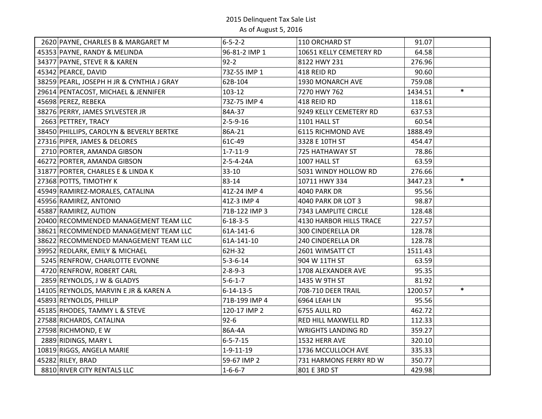| 2620 PAYNE, CHARLES B & MARGARET M        | $6 - 5 - 2 - 2$   | 110 ORCHARD ST            | 91.07   |        |
|-------------------------------------------|-------------------|---------------------------|---------|--------|
| 45353 PAYNE, RANDY & MELINDA              | 96-81-2 IMP 1     | 10651 KELLY CEMETERY RD   | 64.58   |        |
| 34377 PAYNE, STEVE R & KAREN              | $92 - 2$          | 8122 HWY 231              | 276.96  |        |
| 45342 PEARCE, DAVID                       | 73Z-55 IMP 1      | 418 REID RD               | 90.60   |        |
| 38259 PEARL, JOSEPH H JR & CYNTHIA J GRAY | 62B-104           | 1930 MONARCH AVE          | 759.08  |        |
| 29614 PENTACOST, MICHAEL & JENNIFER       | 103-12            | 7270 HWY 762              | 1434.51 | $\ast$ |
| 45698 PEREZ, REBEKA                       | 73Z-75 IMP 4      | 418 REID RD               | 118.61  |        |
| 38276 PERRY, JAMES SYLVESTER JR           | 84A-37            | 9249 KELLY CEMETERY RD    | 637.53  |        |
| 2663 PETTREY, TRACY                       | $2 - 5 - 9 - 16$  | 1101 HALL ST              | 60.54   |        |
| 38450 PHILLIPS, CAROLYN & BEVERLY BERTKE  | 86A-21            | <b>6115 RICHMOND AVE</b>  | 1888.49 |        |
| 27316 PIPER, JAMES & DELORES              | 61C-49            | 3328 E 10TH ST            | 454.47  |        |
| 2710 PORTER, AMANDA GIBSON                | $1 - 7 - 11 - 9$  | 725 HATHAWAY ST           | 78.86   |        |
| 46272 PORTER, AMANDA GIBSON               | 2-5-4-24A         | 1007 HALL ST              | 63.59   |        |
| 31877 PORTER, CHARLES E & LINDA K         | 33-10             | 5031 WINDY HOLLOW RD      | 276.66  |        |
| 27368 POTTS, TIMOTHY K                    | 83-14             | 10711 HWY 334             | 3447.23 | $\ast$ |
| 45949 RAMIREZ-MORALES, CATALINA           | 41Z-24 IMP 4      | 4040 PARK DR              | 95.56   |        |
| 45956 RAMIREZ, ANTONIO                    | 41Z-3 IMP 4       | 4040 PARK DR LOT 3        | 98.87   |        |
| 45887 RAMIREZ, AUTION                     | 71B-122 IMP 3     | 7343 LAMPLITE CIRCLE      | 128.48  |        |
| 20400 RECOMMENDED MANAGEMENT TEAM LLC     | $6 - 18 - 3 - 5$  | 4130 HARBOR HILLS TRACE   | 227.57  |        |
| 38621 RECOMMENDED MANAGEMENT TEAM LLC     | 61A-141-6         | <b>300 CINDERELLA DR</b>  | 128.78  |        |
| 38622 RECOMMENDED MANAGEMENT TEAM LLC     | 61A-141-10        | 240 CINDERELLA DR         | 128.78  |        |
| 39952 REDLARK, EMILY & MICHAEL            | 62H-32            | 2601 WIMSATT CT           | 1511.43 |        |
| 5245 RENFROW, CHARLOTTE EVONNE            | $5 - 3 - 6 - 14$  | 904 W 11TH ST             | 63.59   |        |
| 4720 RENFROW, ROBERT CARL                 | $2 - 8 - 9 - 3$   | 1708 ALEXANDER AVE        | 95.35   |        |
| 2859 REYNOLDS, J W & GLADYS               | $5 - 6 - 1 - 7$   | 1435 W 9TH ST             | 81.92   |        |
| 14105 REYNOLDS, MARVIN E JR & KAREN A     | $6 - 14 - 13 - 5$ | 708-710 DEER TRAIL        | 1200.57 | $\ast$ |
| 45893 REYNOLDS, PHILLIP                   | 71B-199 IMP 4     | 6964 LEAH LN              | 95.56   |        |
| 45185 RHODES, TAMMY L & STEVE             | 120-17 IMP 2      | 6755 AULL RD              | 462.72  |        |
| 27588 RICHARDS, CATALINA                  | $92 - 6$          | RED HILL MAXWELL RD       | 112.33  |        |
| 27598 RICHMOND, EW                        | 86A-4A            | <b>WRIGHTS LANDING RD</b> | 359.27  |        |
| 2889 RIDINGS, MARY L                      | $6 - 5 - 7 - 15$  | 1532 HERR AVE             | 320.10  |        |
| 10819 RIGGS, ANGELA MARIE                 | $1 - 9 - 11 - 19$ | 1736 MCCULLOCH AVE        | 335.33  |        |
| 45282 RILEY, BRAD                         | 59-67 IMP 2       | 731 HARMONS FERRY RD W    | 350.77  |        |
| 8810 RIVER CITY RENTALS LLC               | $1 - 6 - 6 - 7$   | 801 E 3RD ST              | 429.98  |        |
|                                           |                   |                           |         |        |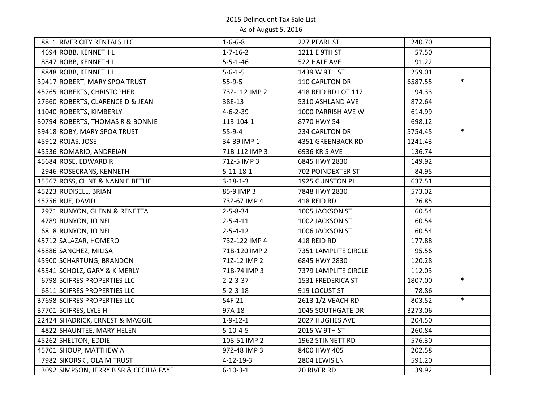| 8811 RIVER CITY RENTALS LLC             | $1 - 6 - 6 - 8$   | 227 PEARL ST             | 240.70  |        |
|-----------------------------------------|-------------------|--------------------------|---------|--------|
| 4694 ROBB, KENNETH L                    | $1 - 7 - 16 - 2$  | 1211 E 9TH ST            | 57.50   |        |
| 8847 ROBB, KENNETH L                    | $5 - 5 - 1 - 46$  | 522 HALE AVE             | 191.22  |        |
| 8848 ROBB, KENNETH L                    | $5 - 6 - 1 - 5$   | 1439 W 9TH ST            | 259.01  |        |
| 39417 ROBERT, MARY SPOA TRUST           | $55-9-5$          | 110 CARLTON DR           | 6587.55 | $\ast$ |
| 45765 ROBERTS, CHRISTOPHER              | 73Z-112 IMP 2     | 418 REID RD LOT 112      | 194.33  |        |
| 27660 ROBERTS, CLARENCE D & JEAN        | 38E-13            | 5310 ASHLAND AVE         | 872.64  |        |
| 11040 ROBERTS, KIMBERLY                 | $4 - 6 - 2 - 39$  | 1000 PARRISH AVE W       | 614.99  |        |
| 30794 ROBERTS, THOMAS R & BONNIE        | 113-104-1         | 8770 HWY 54              | 698.12  |        |
| 39418 ROBY, MARY SPOA TRUST             | 55-9-4            | 234 CARLTON DR           | 5754.45 | $\ast$ |
| 45912 ROJAS, JOSE                       | 34-39 IMP 1       | 4351 GREENBACK RD        | 1241.43 |        |
| 45536 ROMARIO, ANDREIAN                 | 71B-112 IMP 3     | 6936 KRIS AVE            | 136.74  |        |
| 45684 ROSE, EDWARD R                    | 71Z-5 IMP 3       | 6845 HWY 2830            | 149.92  |        |
| 2946 ROSECRANS, KENNETH                 | $5 - 11 - 18 - 1$ | 702 POINDEXTER ST        | 84.95   |        |
| 15567 ROSS, CLINT & NANNIE BETHEL       | $3 - 18 - 1 - 3$  | 1925 GUNSTON PL          | 637.51  |        |
| 45223 RUDISELL, BRIAN                   | 85-9 IMP 3        | 7848 HWY 2830            | 573.02  |        |
| 45756 RUE, DAVID                        | 73Z-67 IMP 4      | 418 REID RD              | 126.85  |        |
| 2971 RUNYON, GLENN & RENETTA            | $2 - 5 - 8 - 34$  | 1005 JACKSON ST          | 60.54   |        |
| 4289 RUNYON, JO NELL                    | $2 - 5 - 4 - 11$  | 1002 JACKSON ST          | 60.54   |        |
| 6818 RUNYON, JO NELL                    | $2 - 5 - 4 - 12$  | 1006 JACKSON ST          | 60.54   |        |
| 45712 SALAZAR, HOMERO                   | 73Z-122 IMP 4     | 418 REID RD              | 177.88  |        |
| 45886 SANCHEZ, MILISA                   | 71B-120 IMP 2     | 7351 LAMPLITE CIRCLE     | 95.56   |        |
| 45900 SCHARTUNG, BRANDON                | 71Z-12 IMP 2      | 6845 HWY 2830            | 120.28  |        |
| 45541 SCHOLZ, GARY & KIMERLY            | 71B-74 IMP 3      | 7379 LAMPLITE CIRCLE     | 112.03  |        |
| 6798 SCIFRES PROPERTIES LLC             | $2 - 2 - 3 - 37$  | 1531 FREDERICA ST        | 1807.00 | $\ast$ |
| 6811 SCIFRES PROPERTIES LLC             | $5 - 2 - 3 - 18$  | 919 LOCUST ST            | 78.86   |        |
| 37698 SCIFRES PROPERTIES LLC            | 54F-21            | 2613 1/2 VEACH RD        | 803.52  | $\ast$ |
| 37701 SCIFRES, LYLE H                   | 97A-18            | <b>1045 SOUTHGATE DR</b> | 3273.06 |        |
| 22424 SHADRICK, ERNEST & MAGGIE         | $1 - 9 - 12 - 1$  | 2027 HUGHES AVE          | 204.50  |        |
| 4822 SHAUNTEE, MARY HELEN               | $5 - 10 - 4 - 5$  | 2015 W 9TH ST            | 260.84  |        |
| 45262 SHELTON, EDDIE                    | 108-51 IMP 2      | 1962 STINNETT RD         | 576.30  |        |
| 45701 SHOUP, MATTHEW A                  | 97Z-48 IMP 3      | 8400 HWY 405             | 202.58  |        |
| 7982 SIKORSKI, OLA M TRUST              | $4 - 12 - 19 - 3$ | 2804 LEWIS LN            | 591.20  |        |
| 3092 SIMPSON, JERRY B SR & CECILIA FAYE | $6 - 10 - 3 - 1$  | 20 RIVER RD              | 139.92  |        |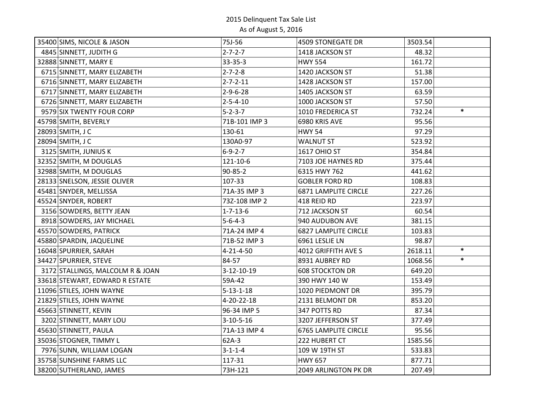| 35400 SIMS, NICOLE & JASON       | 75J-56            | 4509 STONEGATE DR           | 3503.54 |        |
|----------------------------------|-------------------|-----------------------------|---------|--------|
| 4845 SINNETT, JUDITH G           | $2 - 7 - 2 - 7$   | 1418 JACKSON ST             | 48.32   |        |
| 32888 SINNETT, MARY E            | 33-35-3           | <b>HWY 554</b>              | 161.72  |        |
| 6715 SINNETT, MARY ELIZABETH     | $2 - 7 - 2 - 8$   | 1420 JACKSON ST             | 51.38   |        |
| 6716 SINNETT, MARY ELIZABETH     | $2 - 7 - 2 - 11$  | 1428 JACKSON ST             | 157.00  |        |
| 6717 SINNETT, MARY ELIZABETH     | $2 - 9 - 6 - 28$  | 1405 JACKSON ST             | 63.59   |        |
| 6726 SINNETT, MARY ELIZABETH     | $2 - 5 - 4 - 10$  | 1000 JACKSON ST             | 57.50   |        |
| 9579 SIX TWENTY FOUR CORP        | $5 - 2 - 3 - 7$   | 1010 FREDERICA ST           | 732.24  | $\ast$ |
| 45798 SMITH, BEVERLY             | 71B-101 IMP 3     | 6980 KRIS AVE               | 95.56   |        |
| 28093 SMITH, J C                 | 130-61            | <b>HWY 54</b>               | 97.29   |        |
| 28094 SMITH, J C                 | 130A0-97          | <b>WALNUT ST</b>            | 523.92  |        |
| 3125 SMITH, JUNIUS K             | $6 - 9 - 2 - 7$   | <b>1617 OHIO ST</b>         | 354.84  |        |
| 32352 SMITH, M DOUGLAS           | 121-10-6          | 7103 JOE HAYNES RD          | 375.44  |        |
| 32988 SMITH, M DOUGLAS           | 90-85-2           | 6315 HWY 762                | 441.62  |        |
| 28133 SNELSON, JESSIE OLIVER     | 107-33            | <b>GOBLER FORD RD</b>       | 108.83  |        |
| 45481 SNYDER, MELLISSA           | 71A-35 IMP 3      | <b>6871 LAMPLITE CIRCLE</b> | 227.26  |        |
| 45524 SNYDER, ROBERT             | 73Z-108 IMP 2     | 418 REID RD                 | 223.97  |        |
| 3156 SOWDERS, BETTY JEAN         | $1 - 7 - 13 - 6$  | 712 JACKSON ST              | 60.54   |        |
| 8918 SOWDERS, JAY MICHAEL        | $5 - 6 - 4 - 3$   | 940 AUDUBON AVE             | 381.15  |        |
| 45570 SOWDERS, PATRICK           | 71A-24 IMP 4      | <b>6827 LAMPLITE CIRCLE</b> | 103.83  |        |
| 45880 SPARDIN, JAQUELINE         | 71B-52 IMP 3      | 6961 LESLIE LN              | 98.87   |        |
| 16048 SPURRIER, SARAH            | $4 - 21 - 4 - 50$ | 4012 GRIFFITH AVE S         | 2618.11 | $\ast$ |
| 34427 SPURRIER, STEVE            | 84-57             | 8931 AUBREY RD              | 1068.56 | $\ast$ |
| 3172 STALLINGS, MALCOLM R & JOAN | 3-12-10-19        | <b>608 STOCKTON DR</b>      | 649.20  |        |
| 33618 STEWART, EDWARD R ESTATE   | 59A-42            | 390 HWY 140 W               | 153.49  |        |
| 11096 STILES, JOHN WAYNE         | $5 - 13 - 1 - 18$ | 1020 PIEDMONT DR            | 395.79  |        |
| 21829 STILES, JOHN WAYNE         | 4-20-22-18        | 2131 BELMONT DR             | 853.20  |        |
| 45663 STINNETT, KEVIN            | 96-34 IMP 5       | 347 POTTS RD                | 87.34   |        |
| 3202 STINNETT, MARY LOU          | $3 - 10 - 5 - 16$ | 3207 JEFFERSON ST           | 377.49  |        |
| 45630 STINNETT, PAULA            | 71A-13 IMP 4      | <b>6765 LAMPLITE CIRCLE</b> | 95.56   |        |
| 35036 STOGNER, TIMMY L           | $62A-3$           | 222 HUBERT CT               | 1585.56 |        |
| 7976 SUNN, WILLIAM LOGAN         | $3 - 1 - 1 - 4$   | 109 W 19TH ST               | 533.83  |        |
| 35758 SUNSHINE FARMS LLC         | 117-31            | <b>HWY 657</b>              | 877.71  |        |
| 38200 SUTHERLAND, JAMES          | 73H-121           | 2049 ARLINGTON PK DR        | 207.49  |        |
|                                  |                   |                             |         |        |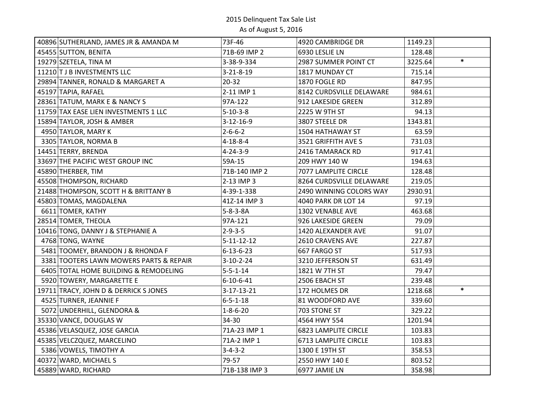| 40896 SUTHERLAND, JAMES JR & AMANDA M   | 73F-46             | 4920 CAMBRIDGE DR           | 1149.23           |
|-----------------------------------------|--------------------|-----------------------------|-------------------|
| 45455 SUTTON, BENITA                    | 71B-69 IMP 2       | 6930 LESLIE LN              | 128.48            |
| 19279 SZETELA, TINA M                   | 3-38-9-334         | 2987 SUMMER POINT CT        | $\ast$<br>3225.64 |
| 11210 T J B INVESTMENTS LLC             | $3 - 21 - 8 - 19$  | 1817 MUNDAY CT              | 715.14            |
| 29894 TANNER, RONALD & MARGARET A       | $20 - 32$          | 1870 FOGLE RD               | 847.95            |
| 45197 TAPIA, RAFAEL                     | 2-11 IMP 1         | 8142 CURDSVILLE DELAWARE    | 984.61            |
| 28361 TATUM, MARK E & NANCY S           | 97A-122            | 912 LAKESIDE GREEN          | 312.89            |
| 11759 TAX EASE LIEN INVESTMENTS 1 LLC   | $5 - 10 - 3 - 8$   | 2225 W 9TH ST               | 94.13             |
| 15894 TAYLOR, JOSH & AMBER              | $3 - 12 - 16 - 9$  | 3807 STEELE DR              | 1343.81           |
| 4950 TAYLOR, MARY K                     | $2 - 6 - 6 - 2$    | 1504 HATHAWAY ST            | 63.59             |
| 3305 TAYLOR, NORMA B                    | $4 - 18 - 8 - 4$   | 3521 GRIFFITH AVE S         | 731.03            |
| 14451 TERRY, BRENDA                     | $4 - 24 - 3 - 9$   | 2416 TAMARACK RD            | 917.41            |
| 33697 THE PACIFIC WEST GROUP INC        | 59A-15             | 209 HWY 140 W               | 194.63            |
| 45890 THERBER, TIM                      | 71B-140 IMP 2      | 7077 LAMPLITE CIRCLE        | 128.48            |
| 45508 THOMPSON, RICHARD                 | 2-13 IMP 3         | 8264 CURDSVILLE DELAWARE    | 219.05            |
| 21488 THOMPSON, SCOTT H & BRITTANY B    | 4-39-1-338         | 2490 WINNING COLORS WAY     | 2930.91           |
| 45803 TOMAS, MAGDALENA                  | 41Z-14 IMP 3       | 4040 PARK DR LOT 14         | 97.19             |
| 6611 TOMER, KATHY                       | $5 - 8 - 3 - 8A$   | 1302 VENABLE AVE            | 463.68            |
| 28514 TOMER, THEOLA                     | 97A-121            | 926 LAKESIDE GREEN          | 79.09             |
| 10416 TONG, DANNY J & STEPHANIE A       | $2 - 9 - 3 - 5$    | 1420 ALEXANDER AVE          | 91.07             |
| 4768 TONG, WAYNE                        | $5 - 11 - 12 - 12$ | 2610 CRAVENS AVE            | 227.87            |
| 5481 TOOMEY, BRANDON J & RHONDA F       | $6 - 13 - 6 - 23$  | 667 FARGO ST                | 517.93            |
| 3381 TOOTERS LAWN MOWERS PARTS & REPAIR | $3 - 10 - 2 - 24$  | 3210 JEFFERSON ST           | 631.49            |
| 6405 TOTAL HOME BUILDING & REMODELING   | $5 - 5 - 1 - 14$   | 1821 W 7TH ST               | 79.47             |
| 5920 TOWERY, MARGARETTE E               | $6 - 10 - 6 - 41$  | 2506 EBACH ST               | 239.48            |
| 19711 TRACY, JOHN D & DERRICK S JONES   | $3 - 17 - 13 - 21$ | 172 HOLMES DR               | $\ast$<br>1218.68 |
| 4525 TURNER, JEANNIE F                  | $6 - 5 - 1 - 18$   | 81 WOODFORD AVE             | 339.60            |
| 5072 UNDERHILL, GLENDORA &              | $1 - 8 - 6 - 20$   | 703 STONE ST                | 329.22            |
| 35330 VANCE, DOUGLAS W                  | 34-30              | 4564 HWY 554                | 1201.94           |
| 45386 VELASQUEZ, JOSE GARCIA            | 71A-23 IMP 1       | <b>6823 LAMPLITE CIRCLE</b> | 103.83            |
| 45385 VELCZQUEZ, MARCELINO              | 71A-2 IMP 1        | <b>6713 LAMPLITE CIRCLE</b> | 103.83            |
| 5386 VOWELS, TIMOTHY A                  | $3 - 4 - 3 - 2$    | 1300 E 19TH ST              | 358.53            |
| 40372 WARD, MICHAEL S                   | 79-57              | 2550 HWY 140 E              | 803.52            |
| 45889 WARD, RICHARD                     | 71B-138 IMP 3      | 6977 JAMIE LN               | 358.98            |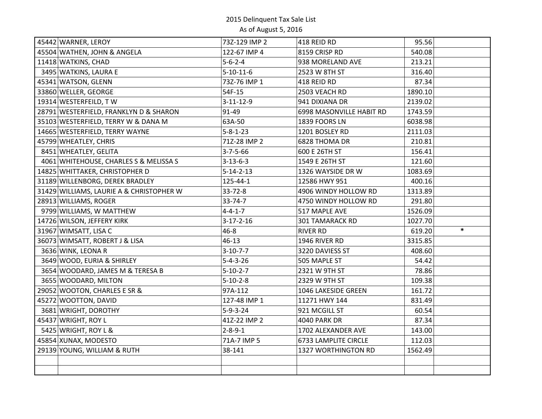| 45442 WARNER, LEROY                      | 73Z-129 IMP 2     | 418 REID RD              | 95.56            |
|------------------------------------------|-------------------|--------------------------|------------------|
| 45504 WATHEN, JOHN & ANGELA              | 122-67 IMP 4      | 8159 CRISP RD            | 540.08           |
| 11418 WATKINS, CHAD                      | $5 - 6 - 2 - 4$   | 938 MORELAND AVE         | 213.21           |
| 3495 WATKINS, LAURA E                    | $5 - 10 - 11 - 6$ | 2523 W 8TH ST            | 316.40           |
| 45341 WATSON, GLENN                      | 73Z-76 IMP 1      | 418 REID RD              | 87.34            |
| 33860 WELLER, GEORGE                     | 54F-15            | 2503 VEACH RD            | 1890.10          |
| 19314 WESTERFEILD, TW                    | $3 - 11 - 12 - 9$ | 941 DIXIANA DR           | 2139.02          |
| 28791 WESTERFIELD, FRANKLYN D & SHARON   | 91-49             | 6998 MASONVILLE HABIT RD | 1743.59          |
| 35103 WESTERFIELD, TERRY W & DANA M      | 63A-50            | 1839 FOORS LN            | 6038.98          |
| 14665 WESTERFIELD, TERRY WAYNE           | $5 - 8 - 1 - 23$  | 1201 BOSLEY RD           | 2111.03          |
| 45799 WHEATLEY, CHRIS                    | 71Z-28 IMP 2      | 6828 THOMA DR            | 210.81           |
| 8451 WHEATLEY, GELITA                    | $3 - 7 - 5 - 66$  | 600 E 26TH ST            | 156.41           |
| 4061 WHITEHOUSE, CHARLES S & MELISSA S   | $3 - 13 - 6 - 3$  | 1549 E 26TH ST           | 121.60           |
| 14825 WHITTAKER, CHRISTOPHER D           | $5 - 14 - 2 - 13$ | 1326 WAYSIDE DR W        | 1083.69          |
| 31189 WILLENBORG, DEREK BRADLEY          | 125-44-1          | 12586 HWY 951            | 400.16           |
| 31429 WILLIAMS, LAURIE A & CHRISTOPHER W | 33-72-8           | 4906 WINDY HOLLOW RD     | 1313.89          |
| 28913 WILLIAMS, ROGER                    | $33 - 74 - 7$     | 4750 WINDY HOLLOW RD     | 291.80           |
| 9799 WILLIAMS, W MATTHEW                 | $4 - 4 - 1 - 7$   | 517 MAPLE AVE            | 1526.09          |
| 14726 WILSON, JEFFERY KIRK               | $3-17-2-16$       | 301 TAMARACK RD          | 1027.70          |
| 31967 WIMSATT, LISA C                    | $46 - 8$          | <b>RIVER RD</b>          | $\ast$<br>619.20 |
| 36073 WIMSATT, ROBERT J & LISA           | 46-13             | 1946 RIVER RD            | 3315.85          |
| 3636 WINK, LEONA R                       | $3-10-7-7$        | 3220 DAVIESS ST          | 408.60           |
| 3649 WOOD, EURIA & SHIRLEY               | $5 - 4 - 3 - 26$  | 505 MAPLE ST             | 54.42            |
| 3654 WOODARD, JAMES M & TERESA B         | $5 - 10 - 2 - 7$  | 2321 W 9TH ST            | 78.86            |
| 3655 WOODARD, MILTON                     | $5 - 10 - 2 - 8$  | 2329 W 9TH ST            | 109.38           |
| 29052 WOOTON, CHARLES E SR &             | 97A-112           | 1046 LAKESIDE GREEN      | 161.72           |
| 45272 WOOTTON, DAVID                     | 127-48 IMP 1      | 11271 HWY 144            | 831.49           |
| 3681 WRIGHT, DOROTHY                     | $5 - 9 - 3 - 24$  | 921 MCGILL ST            | 60.54            |
| 45437 WRIGHT, ROY L                      | 41Z-22 IMP 2      | <b>4040 PARK DR</b>      | 87.34            |
| 5425 WRIGHT, ROY L &                     | $2 - 8 - 9 - 1$   | 1702 ALEXANDER AVE       | 143.00           |
| 45854 XUNAX, MODESTO                     | 71A-7 IMP 5       | 6733 LAMPLITE CIRCLE     | 112.03           |
| 29139 YOUNG, WILLIAM & RUTH              | 38-141            | 1327 WORTHINGTON RD      | 1562.49          |
|                                          |                   |                          |                  |
|                                          |                   |                          |                  |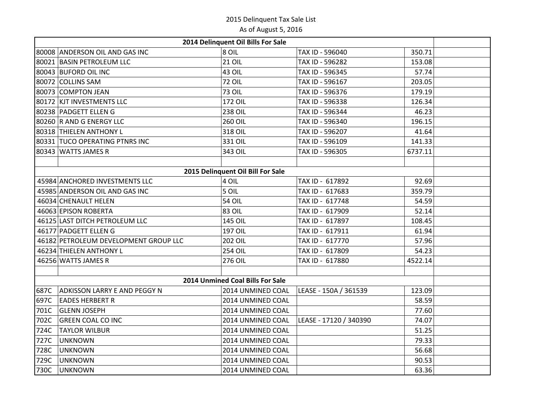|      |                                       | 2014 Delinquent Oil Bills For Sale |                        |         |
|------|---------------------------------------|------------------------------------|------------------------|---------|
|      | 80008 ANDERSON OIL AND GAS INC        | $ 8$ OIL                           | TAX ID - 596040        | 350.71  |
|      | 80021 BASIN PETROLEUM LLC             | <b>21 OIL</b>                      | TAX ID - 596282        | 153.08  |
|      | 80043 BUFORD OIL INC                  | 43 OIL                             | TAX ID - 596345        | 57.74   |
|      | 80072 COLLINS SAM                     | <b>72 OIL</b>                      | TAX ID - 596167        | 203.05  |
|      | 80073 COMPTON JEAN                    | <b>73 OIL</b>                      | TAX ID - 596376        | 179.19  |
|      | 80172 KJT INVESTMENTS LLC             | 172 OIL                            | TAX ID - 596338        | 126.34  |
|      | 80238 PADGETT ELLEN G                 | <b>238 OIL</b>                     | TAX ID - 596344        | 46.23   |
|      | 80260 R AND G ENERGY LLC              | 260 OIL                            | TAX ID - 596340        | 196.15  |
|      | 80318 THIELEN ANTHONY L               | 318 OIL                            | TAX ID - 596207        | 41.64   |
|      | 80331 TUCO OPERATING PTNRS INC        | 331 OIL                            | TAX ID - 596109        | 141.33  |
|      | 80343 WATTS JAMES R                   | 343 OIL                            | TAX ID - 596305        | 6737.11 |
|      |                                       |                                    |                        |         |
|      |                                       | 2015 Delinquent Oil Bill For Sale  |                        |         |
|      | 45984 ANCHORED INVESTMENTS LLC        | 4 OIL                              | TAX ID - 617892        | 92.69   |
|      | 45985 ANDERSON OIL AND GAS INC        | 5 OIL                              | TAX ID - 617683        | 359.79  |
|      | 46034 CHENAULT HELEN                  | <b>54 OIL</b>                      | TAX ID - 617748        | 54.59   |
|      | 46063 EPISON ROBERTA                  | 83 OIL                             | TAX ID - 617909        | 52.14   |
|      | 46125 LAST DITCH PETROLEUM LLC        | 145 OIL                            | TAX ID - 617897        | 108.45  |
|      | 46177 PADGETT ELLENG                  | 197 OIL                            | TAX ID - 617911        | 61.94   |
|      | 46182 PETROLEUM DEVELOPMENT GROUP LLC | 202 OIL                            | TAX ID - 617770        | 57.96   |
|      | 46234 THIELEN ANTHONY L               | <b>254 OIL</b>                     | TAX ID - 617809        | 54.23   |
|      | 46256 WATTS JAMES R                   | 276 OIL                            | TAX ID - 617880        | 4522.14 |
|      |                                       |                                    |                        |         |
|      |                                       | 2014 Unmined Coal Bills For Sale   |                        |         |
| 687C | <b>ADKISSON LARRY E AND PEGGY N</b>   | 2014 UNMINED COAL                  | LEASE - 150A / 361539  | 123.09  |
| 697C | <b>EADES HERBERT R</b>                | 2014 UNMINED COAL                  |                        | 58.59   |
| 701C | <b>GLENN JOSEPH</b>                   | 2014 UNMINED COAL                  |                        | 77.60   |
| 702C | <b>GREEN COAL CO INC</b>              | 2014 UNMINED COAL                  | LEASE - 17120 / 340390 | 74.07   |
| 724C | <b>TAYLOR WILBUR</b>                  | 2014 UNMINED COAL                  |                        | 51.25   |
| 727C | UNKNOWN                               | 2014 UNMINED COAL                  |                        | 79.33   |
| 728C | UNKNOWN                               | 2014 UNMINED COAL                  |                        | 56.68   |
| 729C | UNKNOWN                               | 2014 UNMINED COAL                  |                        | 90.53   |
| 730C | UNKNOWN                               | 2014 UNMINED COAL                  |                        | 63.36   |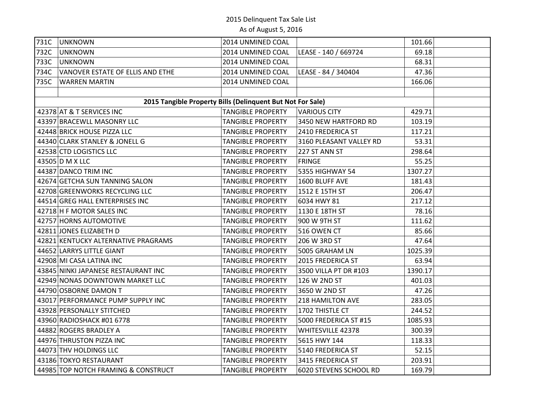| 731C | <b>UNKNOWN</b>                                             | 2014 UNMINED COAL        |                          | 101.66  |  |
|------|------------------------------------------------------------|--------------------------|--------------------------|---------|--|
| 732C | <b>UNKNOWN</b>                                             | 2014 UNMINED COAL        | LEASE - 140 / 669724     | 69.18   |  |
| 733C | UNKNOWN                                                    | 2014 UNMINED COAL        |                          | 68.31   |  |
| 734C | VANOVER ESTATE OF ELLIS AND ETHE                           | 2014 UNMINED COAL        | LEASE - 84 / 340404      | 47.36   |  |
| 735C | <b>WARREN MARTIN</b>                                       | 2014 UNMINED COAL        |                          | 166.06  |  |
|      |                                                            |                          |                          |         |  |
|      | 2015 Tangible Property Bills (Delinquent But Not For Sale) |                          |                          |         |  |
|      | 42378 AT & T SERVICES INC                                  | <b>TANGIBLE PROPERTY</b> | <b>VARIOUS CITY</b>      | 429.71  |  |
|      | 43397 BRACEWLL MASONRY LLC                                 | <b>TANGIBLE PROPERTY</b> | 3450 NEW HARTFORD RD     | 103.19  |  |
|      | 42448 BRICK HOUSE PIZZA LLC                                | <b>TANGIBLE PROPERTY</b> | 2410 FREDERICA ST        | 117.21  |  |
|      | 44340 CLARK STANLEY & JONELL G                             | <b>TANGIBLE PROPERTY</b> | 3160 PLEASANT VALLEY RD  | 53.31   |  |
|      | 42538 CTD LOGISTICS LLC                                    | <b>TANGIBLE PROPERTY</b> | 227 ST ANN ST            | 298.64  |  |
|      | 43505 D M X LLC                                            | <b>TANGIBLE PROPERTY</b> | <b>FRINGE</b>            | 55.25   |  |
|      | 44387 DANCO TRIM INC                                       | <b>TANGIBLE PROPERTY</b> | 5355 HIGHWAY 54          | 1307.27 |  |
|      | 42674 GETCHA SUN TANNING SALON                             | <b>TANGIBLE PROPERTY</b> | 1600 BLUFF AVE           | 181.43  |  |
|      | 42708 GREENWORKS RECYCLING LLC                             | <b>TANGIBLE PROPERTY</b> | 1512 E 15TH ST           | 206.47  |  |
|      | 44514 GREG HALL ENTERPRISES INC                            | <b>TANGIBLE PROPERTY</b> | 6034 HWY 81              | 217.12  |  |
|      | 42718 H F MOTOR SALES INC                                  | <b>TANGIBLE PROPERTY</b> | 1130 E 18TH ST           | 78.16   |  |
|      | 42757 HORNS AUTOMOTIVE                                     | <b>TANGIBLE PROPERTY</b> | 900 W 9TH ST             | 111.62  |  |
|      | 42811 JONES ELIZABETH D                                    | <b>TANGIBLE PROPERTY</b> | 516 OWEN CT              | 85.66   |  |
|      | 42821 KENTUCKY ALTERNATIVE PRAGRAMS                        | <b>TANGIBLE PROPERTY</b> | 206 W 3RD ST             | 47.64   |  |
|      | 44652 LARRYS LITTLE GIANT                                  | <b>TANGIBLE PROPERTY</b> | 5005 GRAHAM LN           | 1025.39 |  |
|      | 42908 MI CASA LATINA INC                                   | <b>TANGIBLE PROPERTY</b> | 2015 FREDERICA ST        | 63.94   |  |
|      | 43845 NINKI JAPANESE RESTAURANT INC                        | <b>TANGIBLE PROPERTY</b> | 3500 VILLA PT DR #103    | 1390.17 |  |
|      | 42949 NONAS DOWNTOWN MARKET LLC                            | <b>TANGIBLE PROPERTY</b> | 126 W 2ND ST             | 401.03  |  |
|      | 44790 OSBORNE DAMON T                                      | <b>TANGIBLE PROPERTY</b> | 3650 W 2ND ST            | 47.26   |  |
|      | 43017 PERFORMANCE PUMP SUPPLY INC                          | <b>TANGIBLE PROPERTY</b> | 218 HAMILTON AVE         | 283.05  |  |
|      | 43928 PERSONALLY STITCHED                                  | <b>TANGIBLE PROPERTY</b> | 1702 THISTLE CT          | 244.52  |  |
|      | 43960 RADIOSHACK #01 6778                                  | <b>TANGIBLE PROPERTY</b> | 5000 FREDERICA ST #15    | 1085.93 |  |
|      | 44882 ROGERS BRADLEY A                                     | <b>TANGIBLE PROPERTY</b> | <b>WHITESVILLE 42378</b> | 300.39  |  |
|      | 44976 THRUSTON PIZZA INC                                   | <b>TANGIBLE PROPERTY</b> | 5615 HWY 144             | 118.33  |  |
|      | 44073 THV HOLDINGS LLC                                     | <b>TANGIBLE PROPERTY</b> | 5140 FREDERICA ST        | 52.15   |  |
|      | 43186 TOKYO RESTAURANT                                     | <b>TANGIBLE PROPERTY</b> | 3415 FREDERICA ST        | 203.91  |  |
|      | 44985 TOP NOTCH FRAMING & CONSTRUCT                        | <b>TANGIBLE PROPERTY</b> | 6020 STEVENS SCHOOL RD   | 169.79  |  |